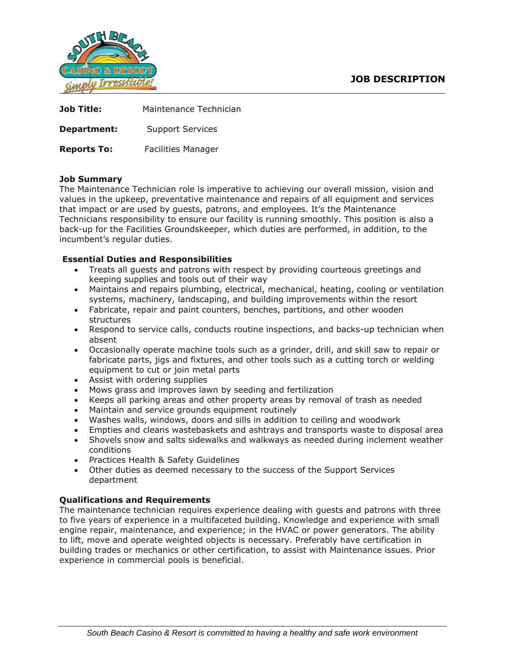

| <b>Job Title:</b>  | Maintenance Technician |
|--------------------|------------------------|
| Department:        | Support Services       |
| <b>Reports To:</b> | Facilities Manager     |

## **Job Summary**

The Maintenance Technician role is imperative to achieving our overall mission, vision and values in the upkeep, preventative maintenance and repairs of all equipment and services that impact or are used by guests, patrons, and employees. It's the Maintenance Technicians responsibility to ensure our facility is running smoothly. This position is also a back-up for the Facilities Groundskeeper, which duties are performed, in addition, to the incumbent's regular duties.

## **Essential Duties and Responsibilities**

- Treats all guests and patrons with respect by providing courteous greetings and keeping supplies and tools out of their way
- Maintains and repairs plumbing, electrical, mechanical, heating, cooling or ventilation systems, machinery, landscaping, and building improvements within the resort
- Fabricate, repair and paint counters, benches, partitions, and other wooden structures
- Respond to service calls, conducts routine inspections, and backs-up technician when absent
- Occasionally operate machine tools such as a grinder, drill, and skill saw to repair or fabricate parts, jigs and fixtures, and other tools such as a cutting torch or welding equipment to cut or join metal parts
- Assist with ordering supplies
- Mows grass and improves lawn by seeding and fertilization
- Keeps all parking areas and other property areas by removal of trash as needed
- Maintain and service grounds equipment routinely
- Washes walls, windows, doors and sills in addition to ceiling and woodwork
- Empties and cleans wastebaskets and ashtrays and transports waste to disposal area
- Shovels snow and salts sidewalks and walkways as needed during inclement weather conditions
- Practices Health & Safety Guidelines
- Other duties as deemed necessary to the success of the Support Services department

# **Qualifications and Requirements**

The maintenance technician requires experience dealing with guests and patrons with three to five years of experience in a multifaceted building. Knowledge and experience with small engine repair, maintenance, and experience; in the HVAC or power generators. The ability to lift, move and operate weighted objects is necessary. Preferably have certification in building trades or mechanics or other certification, to assist with Maintenance issues. Prior experience in commercial pools is beneficial.